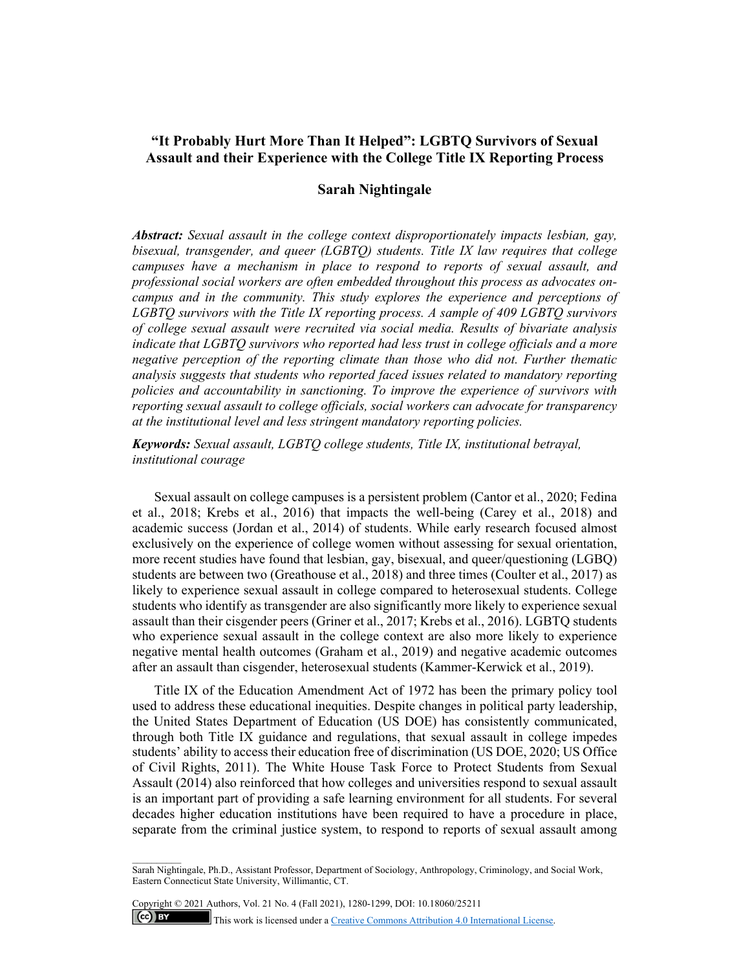# **"It Probably Hurt More Than It Helped": LGBTQ Survivors of Sexual Assault and their Experience with the College Title IX Reporting Process**

# **Sarah Nightingale**

*Abstract: Sexual assault in the college context disproportionately impacts lesbian, gay, bisexual, transgender, and queer (LGBTQ) students. Title IX law requires that college campuses have a mechanism in place to respond to reports of sexual assault, and professional social workers are often embedded throughout this process as advocates oncampus and in the community. This study explores the experience and perceptions of LGBTQ survivors with the Title IX reporting process. A sample of 409 LGBTQ survivors of college sexual assault were recruited via social media. Results of bivariate analysis indicate that LGBTQ survivors who reported had less trust in college officials and a more negative perception of the reporting climate than those who did not. Further thematic analysis suggests that students who reported faced issues related to mandatory reporting policies and accountability in sanctioning. To improve the experience of survivors with reporting sexual assault to college officials, social workers can advocate for transparency at the institutional level and less stringent mandatory reporting policies.* 

*Keywords: Sexual assault, LGBTQ college students, Title IX, institutional betrayal, institutional courage* 

Sexual assault on college campuses is a persistent problem (Cantor et al., 2020; Fedina et al., 2018; Krebs et al., 2016) that impacts the well-being (Carey et al., 2018) and academic success (Jordan et al., 2014) of students. While early research focused almost exclusively on the experience of college women without assessing for sexual orientation, more recent studies have found that lesbian, gay, bisexual, and queer/questioning (LGBQ) students are between two (Greathouse et al., 2018) and three times (Coulter et al., 2017) as likely to experience sexual assault in college compared to heterosexual students. College students who identify as transgender are also significantly more likely to experience sexual assault than their cisgender peers (Griner et al., 2017; Krebs et al., 2016). LGBTQ students who experience sexual assault in the college context are also more likely to experience negative mental health outcomes (Graham et al., 2019) and negative academic outcomes after an assault than cisgender, heterosexual students (Kammer-Kerwick et al., 2019).

Title IX of the Education Amendment Act of 1972 has been the primary policy tool used to address these educational inequities. Despite changes in political party leadership, the United States Department of Education (US DOE) has consistently communicated, through both Title IX guidance and regulations, that sexual assault in college impedes students' ability to access their education free of discrimination (US DOE, 2020; US Office of Civil Rights, 2011). The White House Task Force to Protect Students from Sexual Assault (2014) also reinforced that how colleges and universities respond to sexual assault is an important part of providing a safe learning environment for all students. For several decades higher education institutions have been required to have a procedure in place, separate from the criminal justice system, to respond to reports of sexual assault among

Copyright © 2021 Authors, Vol. 21 No. 4 (Fall 2021), 1280-1299, DOI: 10.18060/25211  $\left(\text{c}\right)$  BY This work is licensed under a Creative Commons Attribution 4.0 International License.

Sarah Nightingale, Ph.D., Assistant Professor, Department of Sociology, Anthropology, Criminology, and Social Work, Eastern Connecticut State University, Willimantic, CT.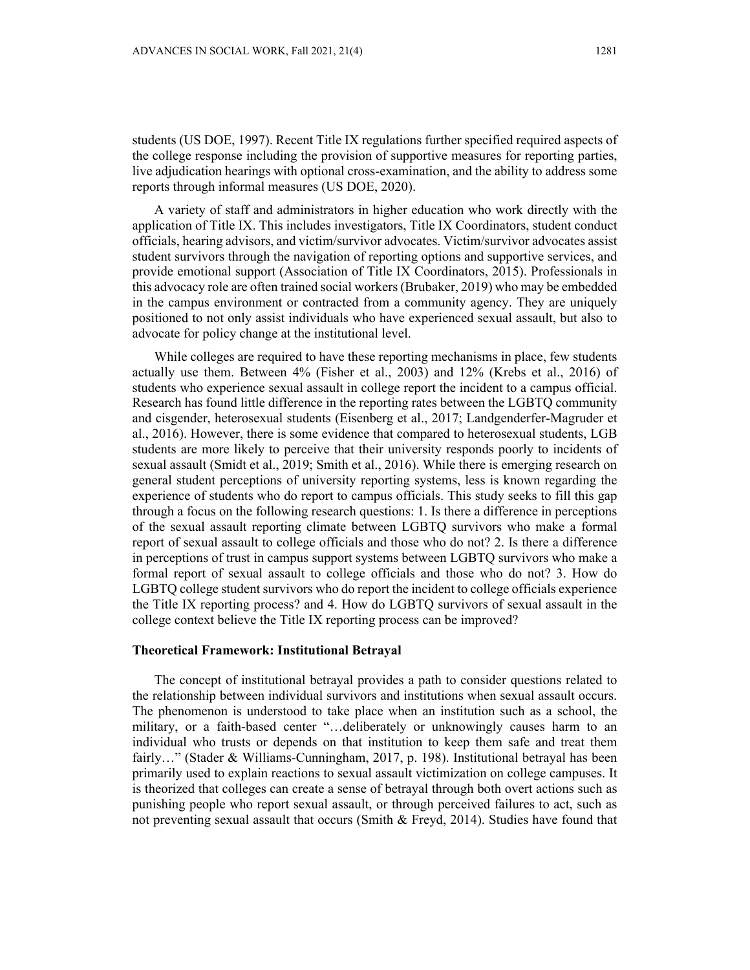students (US DOE, 1997). Recent Title IX regulations further specified required aspects of the college response including the provision of supportive measures for reporting parties, live adjudication hearings with optional cross-examination, and the ability to address some reports through informal measures (US DOE, 2020).

A variety of staff and administrators in higher education who work directly with the application of Title IX. This includes investigators, Title IX Coordinators, student conduct officials, hearing advisors, and victim/survivor advocates. Victim/survivor advocates assist student survivors through the navigation of reporting options and supportive services, and provide emotional support (Association of Title IX Coordinators, 2015). Professionals in this advocacy role are often trained social workers (Brubaker, 2019) who may be embedded in the campus environment or contracted from a community agency. They are uniquely positioned to not only assist individuals who have experienced sexual assault, but also to advocate for policy change at the institutional level.

While colleges are required to have these reporting mechanisms in place, few students actually use them. Between 4% (Fisher et al., 2003) and 12% (Krebs et al., 2016) of students who experience sexual assault in college report the incident to a campus official. Research has found little difference in the reporting rates between the LGBTQ community and cisgender, heterosexual students (Eisenberg et al., 2017; Landgenderfer-Magruder et al., 2016). However, there is some evidence that compared to heterosexual students, LGB students are more likely to perceive that their university responds poorly to incidents of sexual assault (Smidt et al., 2019; Smith et al., 2016). While there is emerging research on general student perceptions of university reporting systems, less is known regarding the experience of students who do report to campus officials. This study seeks to fill this gap through a focus on the following research questions: 1. Is there a difference in perceptions of the sexual assault reporting climate between LGBTQ survivors who make a formal report of sexual assault to college officials and those who do not? 2. Is there a difference in perceptions of trust in campus support systems between LGBTQ survivors who make a formal report of sexual assault to college officials and those who do not? 3. How do LGBTQ college student survivors who do report the incident to college officials experience the Title IX reporting process? and 4. How do LGBTQ survivors of sexual assault in the college context believe the Title IX reporting process can be improved?

### **Theoretical Framework: Institutional Betrayal**

The concept of institutional betrayal provides a path to consider questions related to the relationship between individual survivors and institutions when sexual assault occurs. The phenomenon is understood to take place when an institution such as a school, the military, or a faith-based center "…deliberately or unknowingly causes harm to an individual who trusts or depends on that institution to keep them safe and treat them fairly…" (Stader & Williams-Cunningham, 2017, p. 198). Institutional betrayal has been primarily used to explain reactions to sexual assault victimization on college campuses. It is theorized that colleges can create a sense of betrayal through both overt actions such as punishing people who report sexual assault, or through perceived failures to act, such as not preventing sexual assault that occurs (Smith & Freyd, 2014). Studies have found that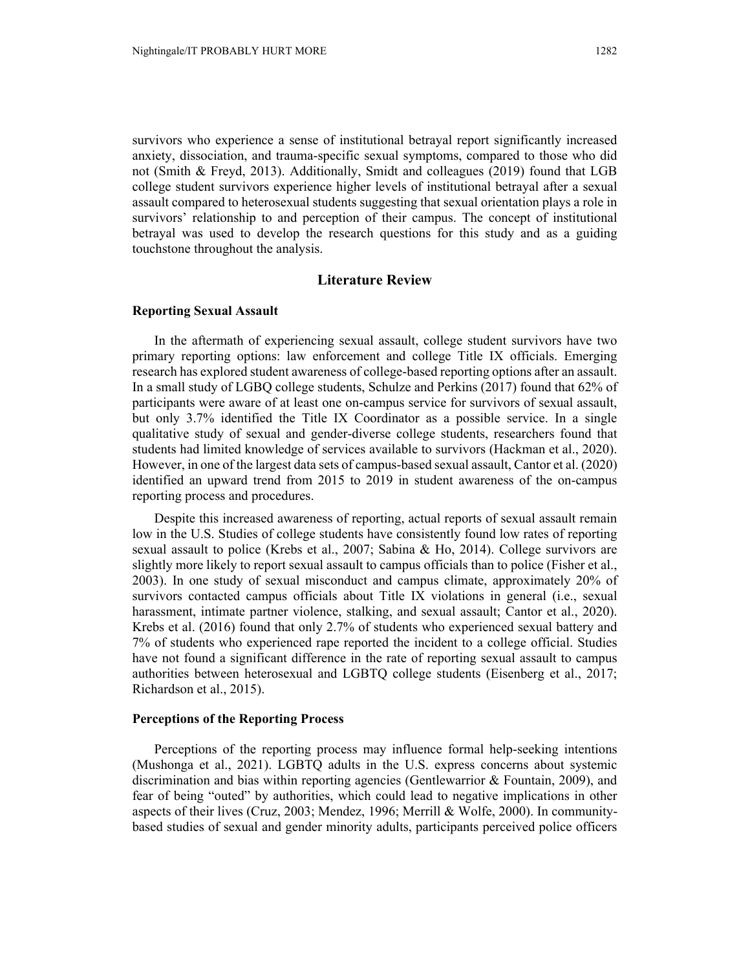survivors who experience a sense of institutional betrayal report significantly increased anxiety, dissociation, and trauma-specific sexual symptoms, compared to those who did not (Smith & Freyd, 2013). Additionally, Smidt and colleagues (2019) found that LGB college student survivors experience higher levels of institutional betrayal after a sexual assault compared to heterosexual students suggesting that sexual orientation plays a role in survivors' relationship to and perception of their campus. The concept of institutional betrayal was used to develop the research questions for this study and as a guiding touchstone throughout the analysis.

# **Literature Review**

# **Reporting Sexual Assault**

In the aftermath of experiencing sexual assault, college student survivors have two primary reporting options: law enforcement and college Title IX officials. Emerging research has explored student awareness of college-based reporting options after an assault. In a small study of LGBQ college students, Schulze and Perkins (2017) found that 62% of participants were aware of at least one on-campus service for survivors of sexual assault, but only 3.7% identified the Title IX Coordinator as a possible service. In a single qualitative study of sexual and gender-diverse college students, researchers found that students had limited knowledge of services available to survivors (Hackman et al., 2020). However, in one of the largest data sets of campus-based sexual assault, Cantor et al. (2020) identified an upward trend from 2015 to 2019 in student awareness of the on-campus reporting process and procedures.

Despite this increased awareness of reporting, actual reports of sexual assault remain low in the U.S. Studies of college students have consistently found low rates of reporting sexual assault to police (Krebs et al., 2007; Sabina & Ho, 2014). College survivors are slightly more likely to report sexual assault to campus officials than to police (Fisher et al., 2003). In one study of sexual misconduct and campus climate, approximately 20% of survivors contacted campus officials about Title IX violations in general (i.e., sexual harassment, intimate partner violence, stalking, and sexual assault; Cantor et al., 2020). Krebs et al. (2016) found that only 2.7% of students who experienced sexual battery and 7% of students who experienced rape reported the incident to a college official. Studies have not found a significant difference in the rate of reporting sexual assault to campus authorities between heterosexual and LGBTQ college students (Eisenberg et al., 2017; Richardson et al., 2015).

### **Perceptions of the Reporting Process**

Perceptions of the reporting process may influence formal help-seeking intentions (Mushonga et al., 2021). LGBTQ adults in the U.S. express concerns about systemic discrimination and bias within reporting agencies (Gentlewarrior & Fountain, 2009), and fear of being "outed" by authorities, which could lead to negative implications in other aspects of their lives (Cruz, 2003; Mendez, 1996; Merrill & Wolfe, 2000). In communitybased studies of sexual and gender minority adults, participants perceived police officers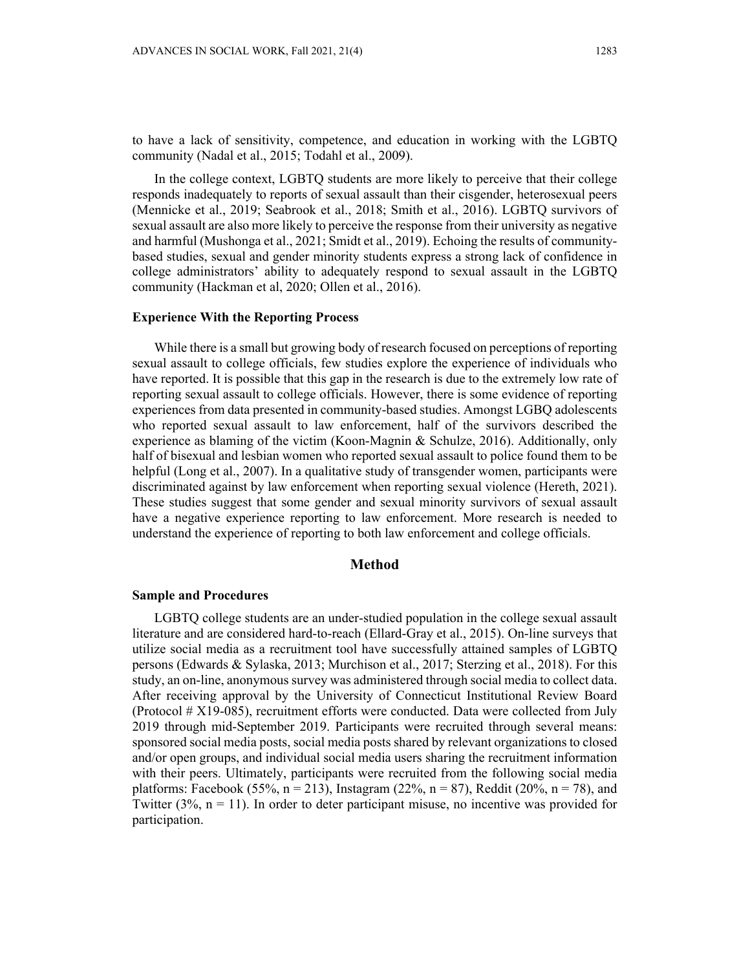to have a lack of sensitivity, competence, and education in working with the LGBTQ community (Nadal et al., 2015; Todahl et al., 2009).

In the college context, LGBTQ students are more likely to perceive that their college responds inadequately to reports of sexual assault than their cisgender, heterosexual peers (Mennicke et al., 2019; Seabrook et al., 2018; Smith et al., 2016). LGBTQ survivors of sexual assault are also more likely to perceive the response from their university as negative and harmful (Mushonga et al., 2021; Smidt et al., 2019). Echoing the results of communitybased studies, sexual and gender minority students express a strong lack of confidence in college administrators' ability to adequately respond to sexual assault in the LGBTQ community (Hackman et al, 2020; Ollen et al., 2016).

### **Experience With the Reporting Process**

While there is a small but growing body of research focused on perceptions of reporting sexual assault to college officials, few studies explore the experience of individuals who have reported. It is possible that this gap in the research is due to the extremely low rate of reporting sexual assault to college officials. However, there is some evidence of reporting experiences from data presented in community-based studies. Amongst LGBQ adolescents who reported sexual assault to law enforcement, half of the survivors described the experience as blaming of the victim (Koon-Magnin & Schulze, 2016). Additionally, only half of bisexual and lesbian women who reported sexual assault to police found them to be helpful (Long et al., 2007). In a qualitative study of transgender women, participants were discriminated against by law enforcement when reporting sexual violence (Hereth, 2021). These studies suggest that some gender and sexual minority survivors of sexual assault have a negative experience reporting to law enforcement. More research is needed to understand the experience of reporting to both law enforcement and college officials.

# **Method**

### **Sample and Procedures**

LGBTQ college students are an under-studied population in the college sexual assault literature and are considered hard-to-reach (Ellard-Gray et al., 2015). On-line surveys that utilize social media as a recruitment tool have successfully attained samples of LGBTQ persons (Edwards & Sylaska, 2013; Murchison et al., 2017; Sterzing et al., 2018). For this study, an on-line, anonymous survey was administered through social media to collect data. After receiving approval by the University of Connecticut Institutional Review Board (Protocol # X19-085), recruitment efforts were conducted. Data were collected from July 2019 through mid-September 2019. Participants were recruited through several means: sponsored social media posts, social media posts shared by relevant organizations to closed and/or open groups, and individual social media users sharing the recruitment information with their peers. Ultimately, participants were recruited from the following social media platforms: Facebook (55%,  $n = 213$ ), Instagram (22%,  $n = 87$ ), Reddit (20%,  $n = 78$ ), and Twitter  $(3\%, n = 11)$ . In order to deter participant misuse, no incentive was provided for participation.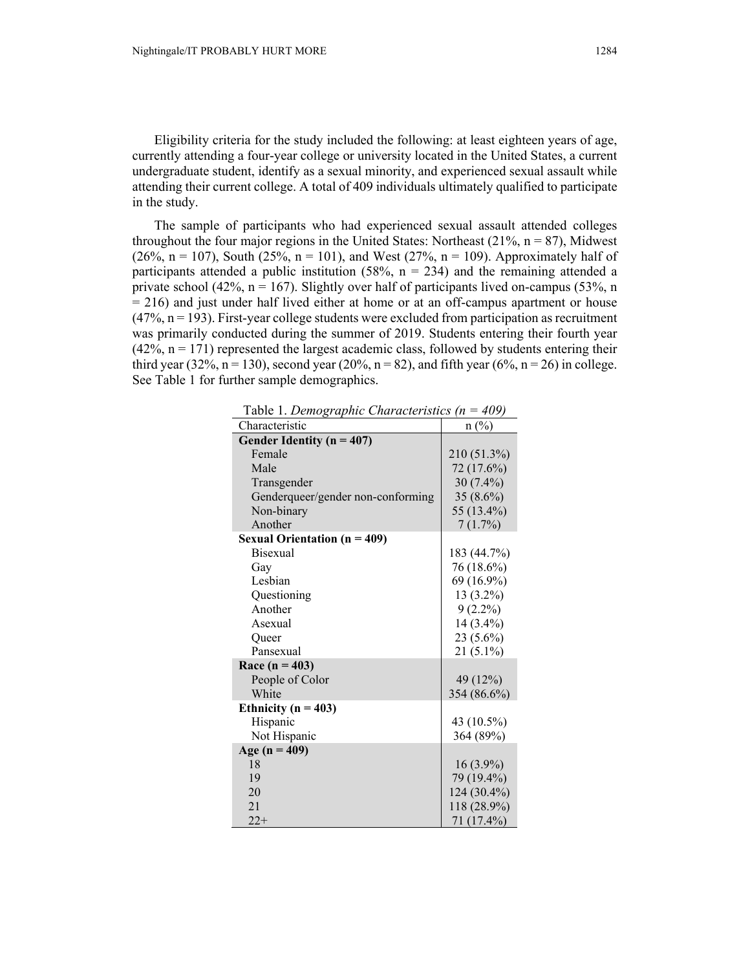Eligibility criteria for the study included the following: at least eighteen years of age, currently attending a four-year college or university located in the United States, a current undergraduate student, identify as a sexual minority, and experienced sexual assault while attending their current college. A total of 409 individuals ultimately qualified to participate in the study.

The sample of participants who had experienced sexual assault attended colleges throughout the four major regions in the United States: Northeast  $(21\%, n = 87)$ , Midwest (26%,  $n = 107$ ), South (25%,  $n = 101$ ), and West (27%,  $n = 109$ ). Approximately half of participants attended a public institution (58%,  $n = 234$ ) and the remaining attended a private school (42%,  $n = 167$ ). Slightly over half of participants lived on-campus (53%, n  $= 216$ ) and just under half lived either at home or at an off-campus apartment or house  $(47\%, n = 193)$ . First-year college students were excluded from participation as recruitment was primarily conducted during the summer of 2019. Students entering their fourth year  $(42\%, n = 171)$  represented the largest academic class, followed by students entering their third year (32%, n = 130), second year (20%, n = 82), and fifth year (6%, n = 26) in college. See Table 1 for further sample demographics.

Table 1. *Demographic Characteristics (n = 409)*

| Characteristic                      | $n(^{0}/_{0})$ |
|-------------------------------------|----------------|
| Gender Identity ( $n = 407$ )       |                |
| Female                              | 210 (51.3%)    |
| Male                                | 72 (17.6%)     |
| Transgender                         | $30(7.4\%)$    |
| Genderqueer/gender non-conforming   | 35 $(8.6\%)$   |
| Non-binary                          | 55 (13.4%)     |
| Another                             | 7(1.7%)        |
| <b>Sexual Orientation (n = 409)</b> |                |
| <b>Bisexual</b>                     | 183 (44.7%)    |
| Gay                                 | 76 (18.6%)     |
| Lesbian                             | 69 (16.9%)     |
| Questioning                         | 13 (3.2%)      |
| Another                             | $9(2.2\%)$     |
| Asexual                             | 14 (3.4%)      |
| Oueer                               | 23 (5.6%)      |
| Pansexual                           | $21(5.1\%)$    |
| Race $(n = 403)$                    |                |
| People of Color                     | 49 (12%)       |
| White                               | 354 (86.6%)    |
| Ethnicity ( $n = 403$ )             |                |
| Hispanic                            | 43 (10.5%)     |
| Not Hispanic                        | 364 (89%)      |
| Age ( $n = 409$ )                   |                |
| 18                                  | $16(3.9\%)$    |
| 19                                  | 79 (19.4%)     |
| 20                                  | 124 (30.4%)    |
| 21                                  | 118 (28.9%)    |
| $22+$                               | 71 (17.4%)     |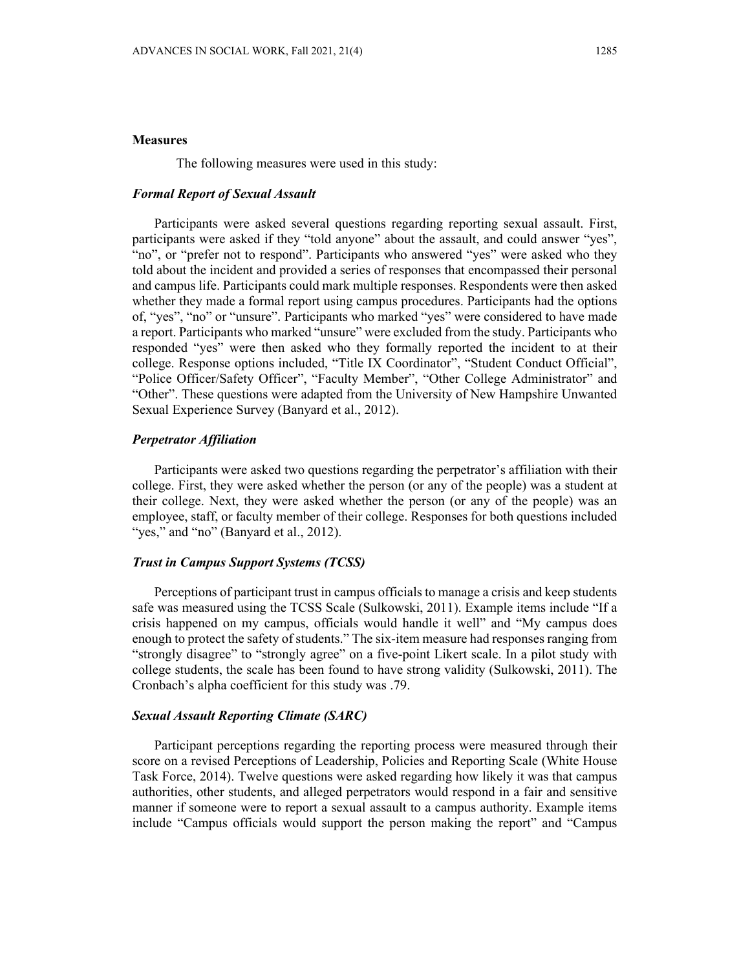# **Measures**

The following measures were used in this study:

### *Formal Report of Sexual Assault*

Participants were asked several questions regarding reporting sexual assault. First, participants were asked if they "told anyone" about the assault, and could answer "yes", "no", or "prefer not to respond". Participants who answered "yes" were asked who they told about the incident and provided a series of responses that encompassed their personal and campus life. Participants could mark multiple responses. Respondents were then asked whether they made a formal report using campus procedures. Participants had the options of, "yes", "no" or "unsure". Participants who marked "yes" were considered to have made a report. Participants who marked "unsure" were excluded from the study. Participants who responded "yes" were then asked who they formally reported the incident to at their college. Response options included, "Title IX Coordinator", "Student Conduct Official", "Police Officer/Safety Officer", "Faculty Member", "Other College Administrator" and "Other". These questions were adapted from the University of New Hampshire Unwanted Sexual Experience Survey (Banyard et al., 2012).

# *Perpetrator Affiliation*

Participants were asked two questions regarding the perpetrator's affiliation with their college. First, they were asked whether the person (or any of the people) was a student at their college. Next, they were asked whether the person (or any of the people) was an employee, staff, or faculty member of their college. Responses for both questions included "yes," and "no" (Banyard et al., 2012).

# *Trust in Campus Support Systems (TCSS)*

Perceptions of participant trust in campus officials to manage a crisis and keep students safe was measured using the TCSS Scale (Sulkowski, 2011). Example items include "If a crisis happened on my campus, officials would handle it well" and "My campus does enough to protect the safety of students." The six-item measure had responses ranging from "strongly disagree" to "strongly agree" on a five-point Likert scale. In a pilot study with college students, the scale has been found to have strong validity (Sulkowski, 2011). The Cronbach's alpha coefficient for this study was .79.

### *Sexual Assault Reporting Climate (SARC)*

Participant perceptions regarding the reporting process were measured through their score on a revised Perceptions of Leadership, Policies and Reporting Scale (White House Task Force, 2014). Twelve questions were asked regarding how likely it was that campus authorities, other students, and alleged perpetrators would respond in a fair and sensitive manner if someone were to report a sexual assault to a campus authority. Example items include "Campus officials would support the person making the report" and "Campus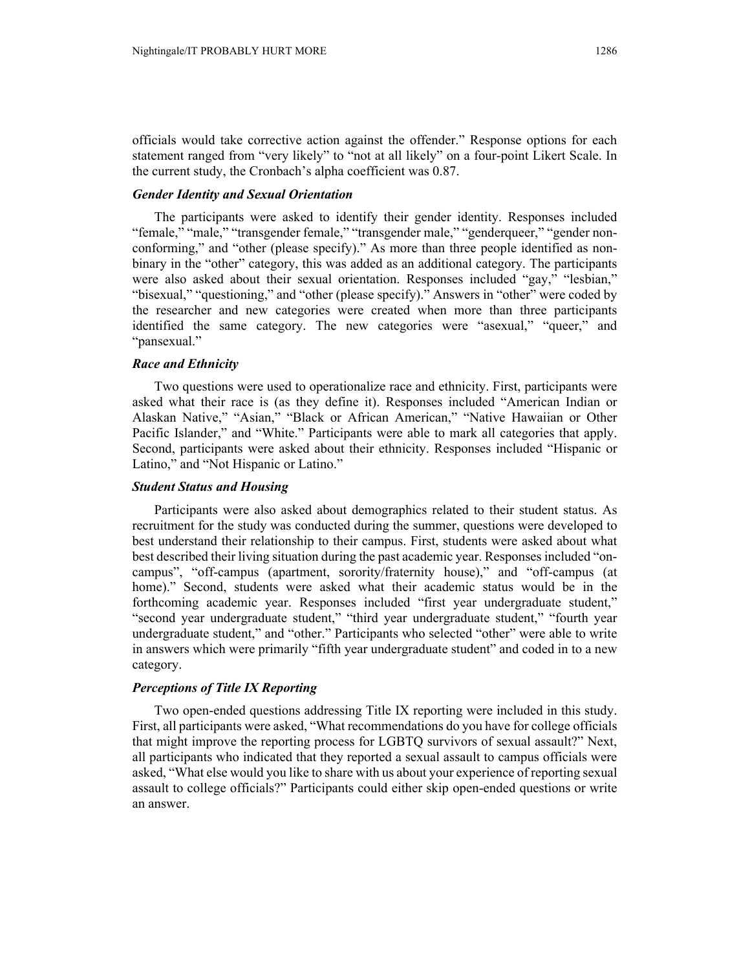officials would take corrective action against the offender." Response options for each statement ranged from "very likely" to "not at all likely" on a four-point Likert Scale. In the current study, the Cronbach's alpha coefficient was 0.87.

# *Gender Identity and Sexual Orientation*

The participants were asked to identify their gender identity. Responses included "female," "male," "transgender female," "transgender male," "genderqueer," "gender nonconforming," and "other (please specify)." As more than three people identified as nonbinary in the "other" category, this was added as an additional category. The participants were also asked about their sexual orientation. Responses included "gay," "lesbian," "bisexual," "questioning," and "other (please specify)." Answers in "other" were coded by the researcher and new categories were created when more than three participants identified the same category. The new categories were "asexual," "queer," and "pansexual."

### *Race and Ethnicity*

Two questions were used to operationalize race and ethnicity. First, participants were asked what their race is (as they define it). Responses included "American Indian or Alaskan Native," "Asian," "Black or African American," "Native Hawaiian or Other Pacific Islander," and "White." Participants were able to mark all categories that apply. Second, participants were asked about their ethnicity. Responses included "Hispanic or Latino," and "Not Hispanic or Latino."

### *Student Status and Housing*

Participants were also asked about demographics related to their student status. As recruitment for the study was conducted during the summer, questions were developed to best understand their relationship to their campus. First, students were asked about what best described their living situation during the past academic year. Responses included "oncampus", "off-campus (apartment, sorority/fraternity house)," and "off-campus (at home)." Second, students were asked what their academic status would be in the forthcoming academic year. Responses included "first year undergraduate student," "second year undergraduate student," "third year undergraduate student," "fourth year undergraduate student," and "other." Participants who selected "other" were able to write in answers which were primarily "fifth year undergraduate student" and coded in to a new category.

# *Perceptions of Title IX Reporting*

Two open-ended questions addressing Title IX reporting were included in this study. First, all participants were asked, "What recommendations do you have for college officials that might improve the reporting process for LGBTQ survivors of sexual assault?" Next, all participants who indicated that they reported a sexual assault to campus officials were asked, "What else would you like to share with us about your experience of reporting sexual assault to college officials?" Participants could either skip open-ended questions or write an answer.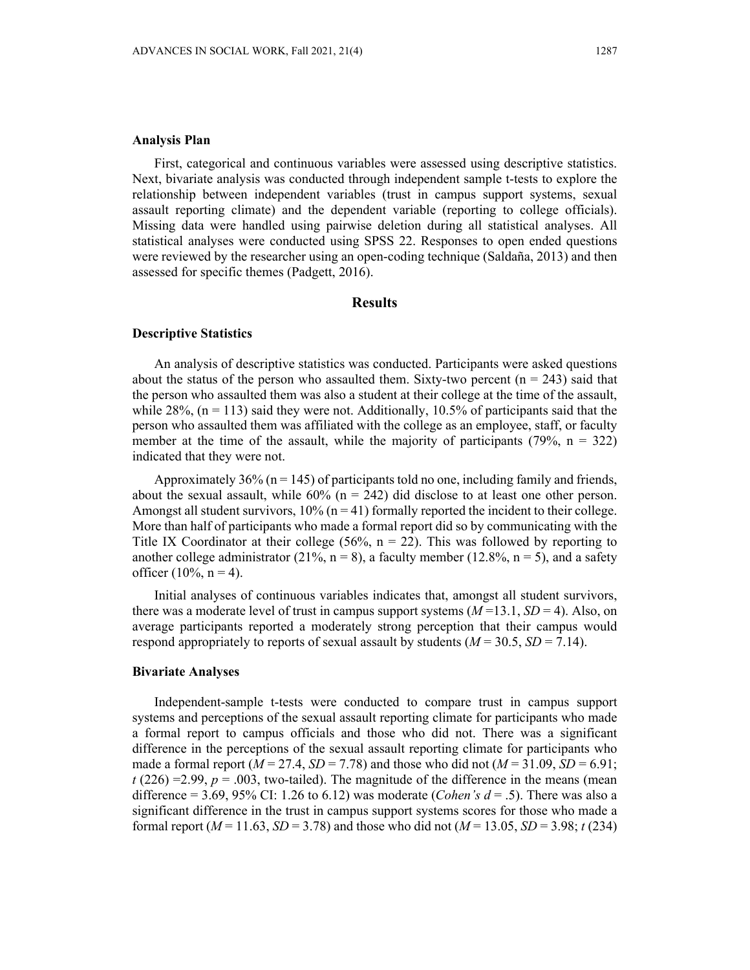### **Analysis Plan**

First, categorical and continuous variables were assessed using descriptive statistics. Next, bivariate analysis was conducted through independent sample t-tests to explore the relationship between independent variables (trust in campus support systems, sexual assault reporting climate) and the dependent variable (reporting to college officials). Missing data were handled using pairwise deletion during all statistical analyses. All statistical analyses were conducted using SPSS 22. Responses to open ended questions were reviewed by the researcher using an open-coding technique (Saldaña, 2013) and then assessed for specific themes (Padgett, 2016).

### **Results**

#### **Descriptive Statistics**

An analysis of descriptive statistics was conducted. Participants were asked questions about the status of the person who assaulted them. Sixty-two percent  $(n = 243)$  said that the person who assaulted them was also a student at their college at the time of the assault, while  $28\%$ , (n = 113) said they were not. Additionally, 10.5% of participants said that the person who assaulted them was affiliated with the college as an employee, staff, or faculty member at the time of the assault, while the majority of participants (79%,  $n = 322$ ) indicated that they were not.

Approximately  $36\%$  (n = 145) of participants told no one, including family and friends, about the sexual assault, while  $60\%$  (n = 242) did disclose to at least one other person. Amongst all student survivors,  $10\%$  ( $n = 41$ ) formally reported the incident to their college. More than half of participants who made a formal report did so by communicating with the Title IX Coordinator at their college (56%,  $n = 22$ ). This was followed by reporting to another college administrator (21%,  $n = 8$ ), a faculty member (12.8%,  $n = 5$ ), and a safety officer (10%,  $n = 4$ ).

Initial analyses of continuous variables indicates that, amongst all student survivors, there was a moderate level of trust in campus support systems  $(M=13.1, SD=4)$ . Also, on average participants reported a moderately strong perception that their campus would respond appropriately to reports of sexual assault by students  $(M = 30.5, SD = 7.14)$ .

#### **Bivariate Analyses**

Independent-sample t-tests were conducted to compare trust in campus support systems and perceptions of the sexual assault reporting climate for participants who made a formal report to campus officials and those who did not. There was a significant difference in the perceptions of the sexual assault reporting climate for participants who made a formal report ( $M = 27.4$ ,  $SD = 7.78$ ) and those who did not ( $M = 31.09$ ,  $SD = 6.91$ ;  $t(226) = 2.99$ ,  $p = .003$ , two-tailed). The magnitude of the difference in the means (mean difference = 3.69, 95% CI: 1.26 to 6.12) was moderate (*Cohen's d* = .5). There was also a significant difference in the trust in campus support systems scores for those who made a formal report ( $M = 11.63$ ,  $SD = 3.78$ ) and those who did not ( $M = 13.05$ ,  $SD = 3.98$ ; *t* (234)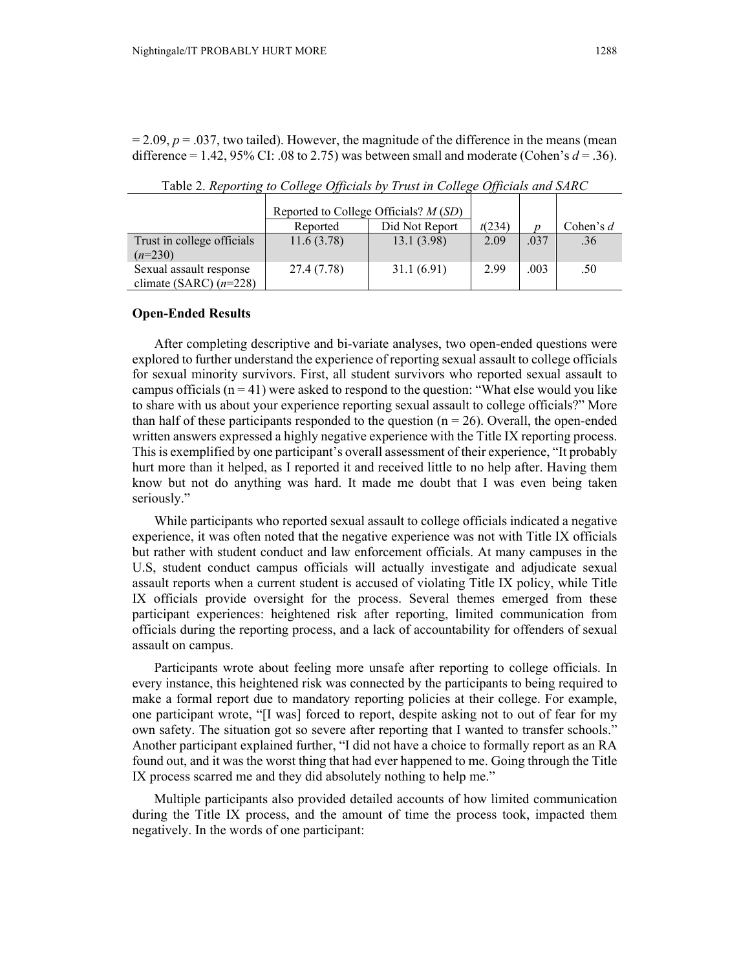$= 2.09, p = .037$ , two tailed). However, the magnitude of the difference in the means (mean difference  $= 1.42, 95\%$  CI: .08 to 2.75) was between small and moderate (Cohen's  $d = .36$ ).

|                            | Reported to College Officials? $M(SD)$ |                |        |      |             |
|----------------------------|----------------------------------------|----------------|--------|------|-------------|
|                            | Reported                               | Did Not Report | t(234) | n    | Cohen's $d$ |
| Trust in college officials | 11.6(3.78)                             | 13.1(3.98)     | 2.09   | .037 | .36         |
| $(n=230)$                  |                                        |                |        |      |             |
| Sexual assault response    | 27.4 (7.78)                            | 31.1(6.91)     | 2.99   | .003 | .50         |
| climate (SARC) $(n=228)$   |                                        |                |        |      |             |

Table 2. *Reporting to College Officials by Trust in College Officials and SARC*

### **Open-Ended Results**

After completing descriptive and bi-variate analyses, two open-ended questions were explored to further understand the experience of reporting sexual assault to college officials for sexual minority survivors. First, all student survivors who reported sexual assault to campus officials  $(n = 41)$  were asked to respond to the question: "What else would you like to share with us about your experience reporting sexual assault to college officials?" More than half of these participants responded to the question ( $n = 26$ ). Overall, the open-ended written answers expressed a highly negative experience with the Title IX reporting process. This is exemplified by one participant's overall assessment of their experience, "It probably hurt more than it helped, as I reported it and received little to no help after. Having them know but not do anything was hard. It made me doubt that I was even being taken seriously."

While participants who reported sexual assault to college officials indicated a negative experience, it was often noted that the negative experience was not with Title IX officials but rather with student conduct and law enforcement officials. At many campuses in the U.S, student conduct campus officials will actually investigate and adjudicate sexual assault reports when a current student is accused of violating Title IX policy, while Title IX officials provide oversight for the process. Several themes emerged from these participant experiences: heightened risk after reporting, limited communication from officials during the reporting process, and a lack of accountability for offenders of sexual assault on campus.

Participants wrote about feeling more unsafe after reporting to college officials. In every instance, this heightened risk was connected by the participants to being required to make a formal report due to mandatory reporting policies at their college. For example, one participant wrote, "[I was] forced to report, despite asking not to out of fear for my own safety. The situation got so severe after reporting that I wanted to transfer schools." Another participant explained further, "I did not have a choice to formally report as an RA found out, and it was the worst thing that had ever happened to me. Going through the Title IX process scarred me and they did absolutely nothing to help me."

Multiple participants also provided detailed accounts of how limited communication during the Title IX process, and the amount of time the process took, impacted them negatively. In the words of one participant: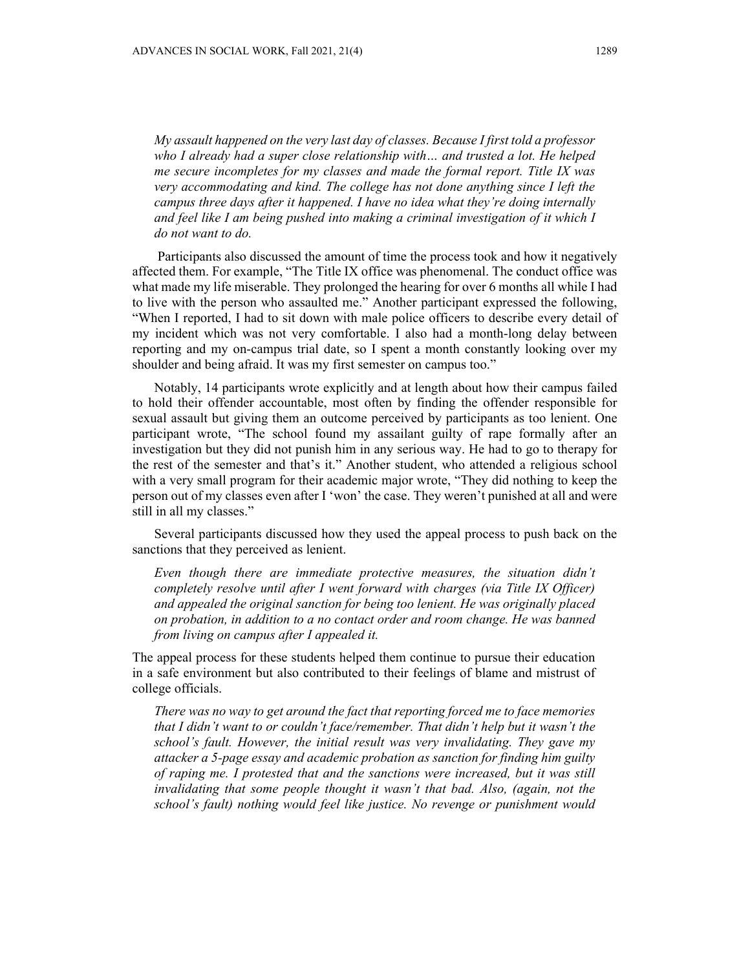*My assault happened on the very last day of classes. Because I first told a professor who I already had a super close relationship with… and trusted a lot. He helped me secure incompletes for my classes and made the formal report. Title IX was very accommodating and kind. The college has not done anything since I left the campus three days after it happened. I have no idea what they're doing internally and feel like I am being pushed into making a criminal investigation of it which I do not want to do.* 

 Participants also discussed the amount of time the process took and how it negatively affected them. For example, "The Title IX office was phenomenal. The conduct office was what made my life miserable. They prolonged the hearing for over 6 months all while I had to live with the person who assaulted me." Another participant expressed the following, "When I reported, I had to sit down with male police officers to describe every detail of my incident which was not very comfortable. I also had a month-long delay between reporting and my on-campus trial date, so I spent a month constantly looking over my shoulder and being afraid. It was my first semester on campus too."

Notably, 14 participants wrote explicitly and at length about how their campus failed to hold their offender accountable, most often by finding the offender responsible for sexual assault but giving them an outcome perceived by participants as too lenient. One participant wrote, "The school found my assailant guilty of rape formally after an investigation but they did not punish him in any serious way. He had to go to therapy for the rest of the semester and that's it." Another student, who attended a religious school with a very small program for their academic major wrote, "They did nothing to keep the person out of my classes even after I 'won' the case. They weren't punished at all and were still in all my classes."

Several participants discussed how they used the appeal process to push back on the sanctions that they perceived as lenient.

*Even though there are immediate protective measures, the situation didn't completely resolve until after I went forward with charges (via Title IX Officer) and appealed the original sanction for being too lenient. He was originally placed on probation, in addition to a no contact order and room change. He was banned from living on campus after I appealed it.* 

The appeal process for these students helped them continue to pursue their education in a safe environment but also contributed to their feelings of blame and mistrust of college officials.

*There was no way to get around the fact that reporting forced me to face memories that I didn't want to or couldn't face/remember. That didn't help but it wasn't the school's fault. However, the initial result was very invalidating. They gave my attacker a 5-page essay and academic probation as sanction for finding him guilty of raping me. I protested that and the sanctions were increased, but it was still invalidating that some people thought it wasn't that bad. Also, (again, not the school's fault) nothing would feel like justice. No revenge or punishment would*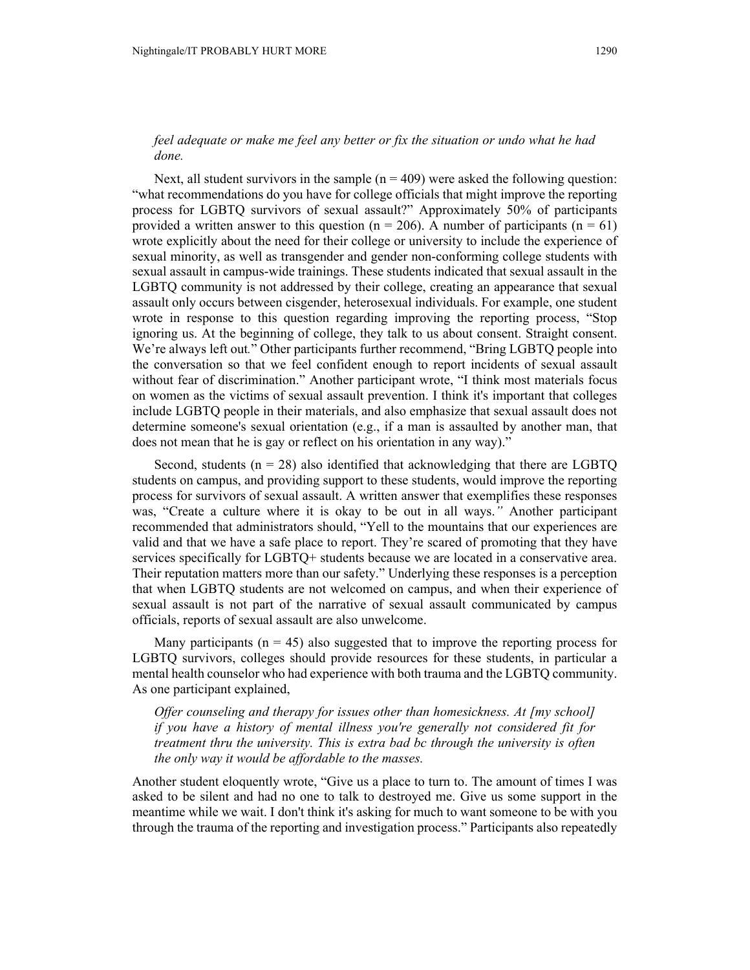# *feel adequate or make me feel any better or fix the situation or undo what he had done.*

Next, all student survivors in the sample  $(n = 409)$  were asked the following question: "what recommendations do you have for college officials that might improve the reporting process for LGBTQ survivors of sexual assault?" Approximately 50% of participants provided a written answer to this question ( $n = 206$ ). A number of participants ( $n = 61$ ) wrote explicitly about the need for their college or university to include the experience of sexual minority, as well as transgender and gender non-conforming college students with sexual assault in campus-wide trainings. These students indicated that sexual assault in the LGBTQ community is not addressed by their college, creating an appearance that sexual assault only occurs between cisgender, heterosexual individuals. For example, one student wrote in response to this question regarding improving the reporting process, "Stop ignoring us. At the beginning of college, they talk to us about consent. Straight consent. We're always left out*.*" Other participants further recommend, "Bring LGBTQ people into the conversation so that we feel confident enough to report incidents of sexual assault without fear of discrimination." Another participant wrote, "I think most materials focus on women as the victims of sexual assault prevention. I think it's important that colleges include LGBTQ people in their materials, and also emphasize that sexual assault does not determine someone's sexual orientation (e.g., if a man is assaulted by another man, that does not mean that he is gay or reflect on his orientation in any way)."

Second, students ( $n = 28$ ) also identified that acknowledging that there are LGBTQ students on campus, and providing support to these students, would improve the reporting process for survivors of sexual assault. A written answer that exemplifies these responses was, "Create a culture where it is okay to be out in all ways.*"* Another participant recommended that administrators should, "Yell to the mountains that our experiences are valid and that we have a safe place to report. They're scared of promoting that they have services specifically for LGBTQ+ students because we are located in a conservative area. Their reputation matters more than our safety." Underlying these responses is a perception that when LGBTQ students are not welcomed on campus, and when their experience of sexual assault is not part of the narrative of sexual assault communicated by campus officials, reports of sexual assault are also unwelcome.

Many participants ( $n = 45$ ) also suggested that to improve the reporting process for LGBTQ survivors, colleges should provide resources for these students, in particular a mental health counselor who had experience with both trauma and the LGBTQ community. As one participant explained,

*Offer counseling and therapy for issues other than homesickness. At [my school] if you have a history of mental illness you're generally not considered fit for treatment thru the university. This is extra bad bc through the university is often the only way it would be affordable to the masses.* 

Another student eloquently wrote, "Give us a place to turn to. The amount of times I was asked to be silent and had no one to talk to destroyed me. Give us some support in the meantime while we wait. I don't think it's asking for much to want someone to be with you through the trauma of the reporting and investigation process." Participants also repeatedly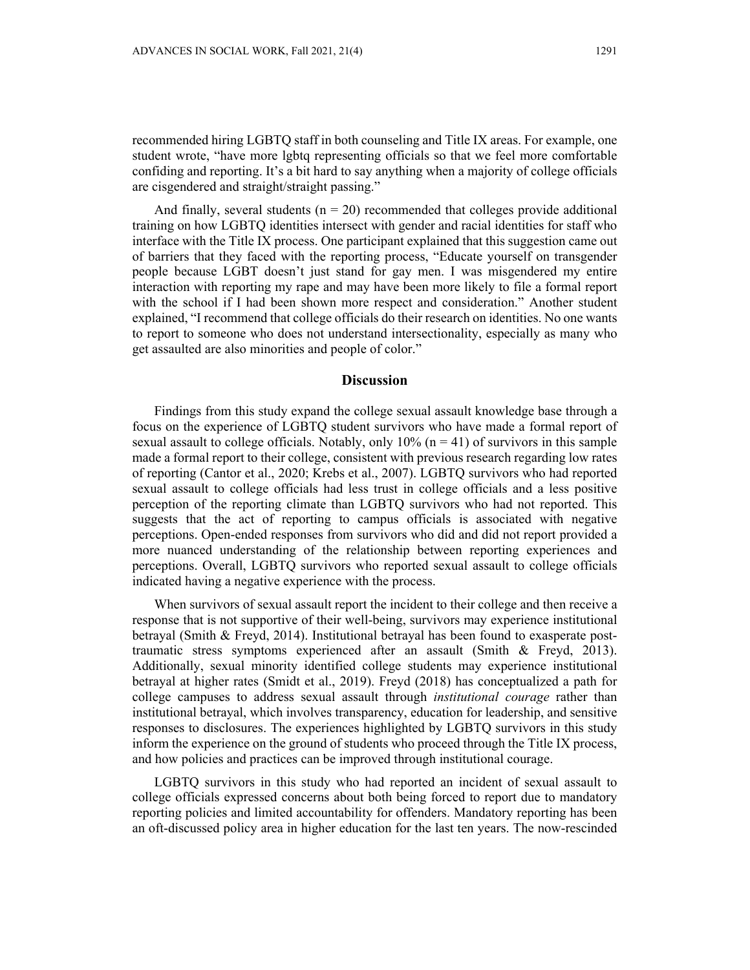recommended hiring LGBTQ staff in both counseling and Title IX areas. For example, one student wrote, "have more lgbtq representing officials so that we feel more comfortable confiding and reporting. It's a bit hard to say anything when a majority of college officials are cisgendered and straight/straight passing."

And finally, several students  $(n = 20)$  recommended that colleges provide additional training on how LGBTQ identities intersect with gender and racial identities for staff who interface with the Title IX process. One participant explained that this suggestion came out of barriers that they faced with the reporting process, "Educate yourself on transgender people because LGBT doesn't just stand for gay men. I was misgendered my entire interaction with reporting my rape and may have been more likely to file a formal report with the school if I had been shown more respect and consideration." Another student explained, "I recommend that college officials do their research on identities. No one wants to report to someone who does not understand intersectionality, especially as many who get assaulted are also minorities and people of color."

# **Discussion**

Findings from this study expand the college sexual assault knowledge base through a focus on the experience of LGBTQ student survivors who have made a formal report of sexual assault to college officials. Notably, only  $10\%$  ( $n = 41$ ) of survivors in this sample made a formal report to their college, consistent with previous research regarding low rates of reporting (Cantor et al., 2020; Krebs et al., 2007). LGBTQ survivors who had reported sexual assault to college officials had less trust in college officials and a less positive perception of the reporting climate than LGBTQ survivors who had not reported. This suggests that the act of reporting to campus officials is associated with negative perceptions. Open-ended responses from survivors who did and did not report provided a more nuanced understanding of the relationship between reporting experiences and perceptions. Overall, LGBTQ survivors who reported sexual assault to college officials indicated having a negative experience with the process.

When survivors of sexual assault report the incident to their college and then receive a response that is not supportive of their well-being, survivors may experience institutional betrayal (Smith & Freyd, 2014). Institutional betrayal has been found to exasperate posttraumatic stress symptoms experienced after an assault (Smith & Freyd, 2013). Additionally, sexual minority identified college students may experience institutional betrayal at higher rates (Smidt et al., 2019). Freyd (2018) has conceptualized a path for college campuses to address sexual assault through *institutional courage* rather than institutional betrayal, which involves transparency, education for leadership, and sensitive responses to disclosures. The experiences highlighted by LGBTQ survivors in this study inform the experience on the ground of students who proceed through the Title IX process, and how policies and practices can be improved through institutional courage.

LGBTQ survivors in this study who had reported an incident of sexual assault to college officials expressed concerns about both being forced to report due to mandatory reporting policies and limited accountability for offenders. Mandatory reporting has been an oft-discussed policy area in higher education for the last ten years. The now-rescinded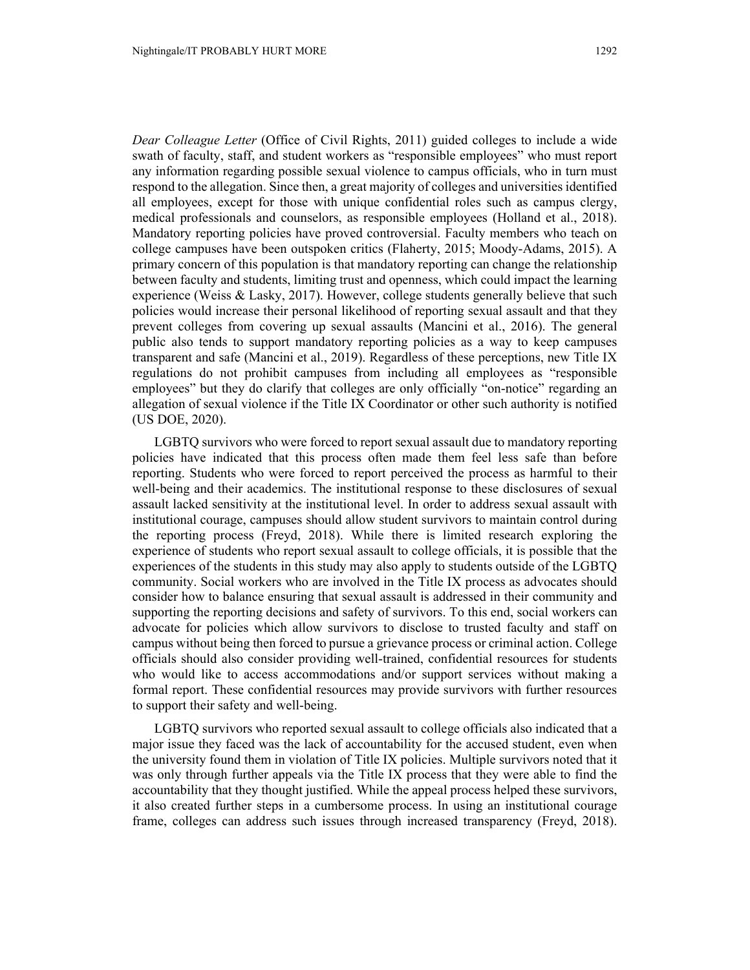*Dear Colleague Letter* (Office of Civil Rights, 2011) guided colleges to include a wide swath of faculty, staff, and student workers as "responsible employees" who must report any information regarding possible sexual violence to campus officials, who in turn must respond to the allegation. Since then, a great majority of colleges and universities identified all employees, except for those with unique confidential roles such as campus clergy, medical professionals and counselors, as responsible employees (Holland et al., 2018). Mandatory reporting policies have proved controversial. Faculty members who teach on college campuses have been outspoken critics (Flaherty, 2015; Moody-Adams, 2015). A primary concern of this population is that mandatory reporting can change the relationship between faculty and students, limiting trust and openness, which could impact the learning experience (Weiss & Lasky, 2017). However, college students generally believe that such policies would increase their personal likelihood of reporting sexual assault and that they prevent colleges from covering up sexual assaults (Mancini et al., 2016). The general public also tends to support mandatory reporting policies as a way to keep campuses transparent and safe (Mancini et al., 2019). Regardless of these perceptions, new Title IX regulations do not prohibit campuses from including all employees as "responsible employees" but they do clarify that colleges are only officially "on-notice" regarding an allegation of sexual violence if the Title IX Coordinator or other such authority is notified (US DOE, 2020).

LGBTQ survivors who were forced to report sexual assault due to mandatory reporting policies have indicated that this process often made them feel less safe than before reporting. Students who were forced to report perceived the process as harmful to their well-being and their academics. The institutional response to these disclosures of sexual assault lacked sensitivity at the institutional level. In order to address sexual assault with institutional courage, campuses should allow student survivors to maintain control during the reporting process (Freyd, 2018). While there is limited research exploring the experience of students who report sexual assault to college officials, it is possible that the experiences of the students in this study may also apply to students outside of the LGBTQ community. Social workers who are involved in the Title IX process as advocates should consider how to balance ensuring that sexual assault is addressed in their community and supporting the reporting decisions and safety of survivors. To this end, social workers can advocate for policies which allow survivors to disclose to trusted faculty and staff on campus without being then forced to pursue a grievance process or criminal action. College officials should also consider providing well-trained, confidential resources for students who would like to access accommodations and/or support services without making a formal report. These confidential resources may provide survivors with further resources to support their safety and well-being.

LGBTQ survivors who reported sexual assault to college officials also indicated that a major issue they faced was the lack of accountability for the accused student, even when the university found them in violation of Title IX policies. Multiple survivors noted that it was only through further appeals via the Title IX process that they were able to find the accountability that they thought justified. While the appeal process helped these survivors, it also created further steps in a cumbersome process. In using an institutional courage frame, colleges can address such issues through increased transparency (Freyd, 2018).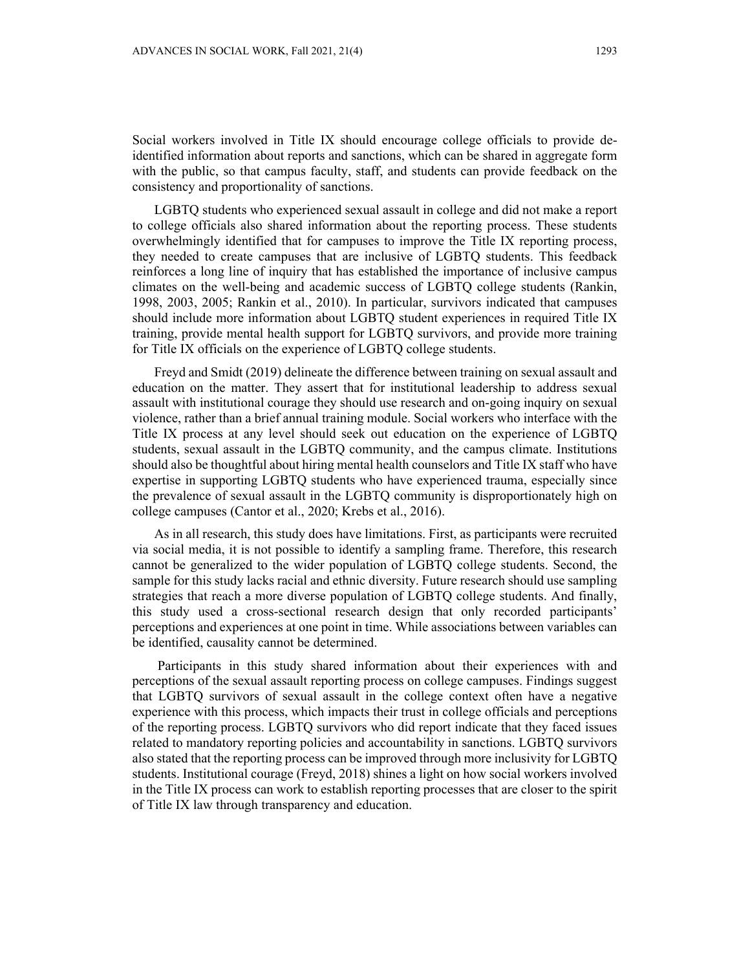Social workers involved in Title IX should encourage college officials to provide deidentified information about reports and sanctions, which can be shared in aggregate form with the public, so that campus faculty, staff, and students can provide feedback on the consistency and proportionality of sanctions.

LGBTQ students who experienced sexual assault in college and did not make a report to college officials also shared information about the reporting process. These students overwhelmingly identified that for campuses to improve the Title IX reporting process, they needed to create campuses that are inclusive of LGBTQ students. This feedback reinforces a long line of inquiry that has established the importance of inclusive campus climates on the well-being and academic success of LGBTQ college students (Rankin, 1998, 2003, 2005; Rankin et al., 2010). In particular, survivors indicated that campuses should include more information about LGBTQ student experiences in required Title IX training, provide mental health support for LGBTQ survivors, and provide more training for Title IX officials on the experience of LGBTQ college students.

Freyd and Smidt (2019) delineate the difference between training on sexual assault and education on the matter. They assert that for institutional leadership to address sexual assault with institutional courage they should use research and on-going inquiry on sexual violence, rather than a brief annual training module. Social workers who interface with the Title IX process at any level should seek out education on the experience of LGBTQ students, sexual assault in the LGBTQ community, and the campus climate. Institutions should also be thoughtful about hiring mental health counselors and Title IX staff who have expertise in supporting LGBTQ students who have experienced trauma, especially since the prevalence of sexual assault in the LGBTQ community is disproportionately high on college campuses (Cantor et al., 2020; Krebs et al., 2016).

As in all research, this study does have limitations. First, as participants were recruited via social media, it is not possible to identify a sampling frame. Therefore, this research cannot be generalized to the wider population of LGBTQ college students. Second, the sample for this study lacks racial and ethnic diversity. Future research should use sampling strategies that reach a more diverse population of LGBTQ college students. And finally, this study used a cross-sectional research design that only recorded participants' perceptions and experiences at one point in time. While associations between variables can be identified, causality cannot be determined.

 Participants in this study shared information about their experiences with and perceptions of the sexual assault reporting process on college campuses. Findings suggest that LGBTQ survivors of sexual assault in the college context often have a negative experience with this process, which impacts their trust in college officials and perceptions of the reporting process. LGBTQ survivors who did report indicate that they faced issues related to mandatory reporting policies and accountability in sanctions. LGBTQ survivors also stated that the reporting process can be improved through more inclusivity for LGBTQ students. Institutional courage (Freyd, 2018) shines a light on how social workers involved in the Title IX process can work to establish reporting processes that are closer to the spirit of Title IX law through transparency and education.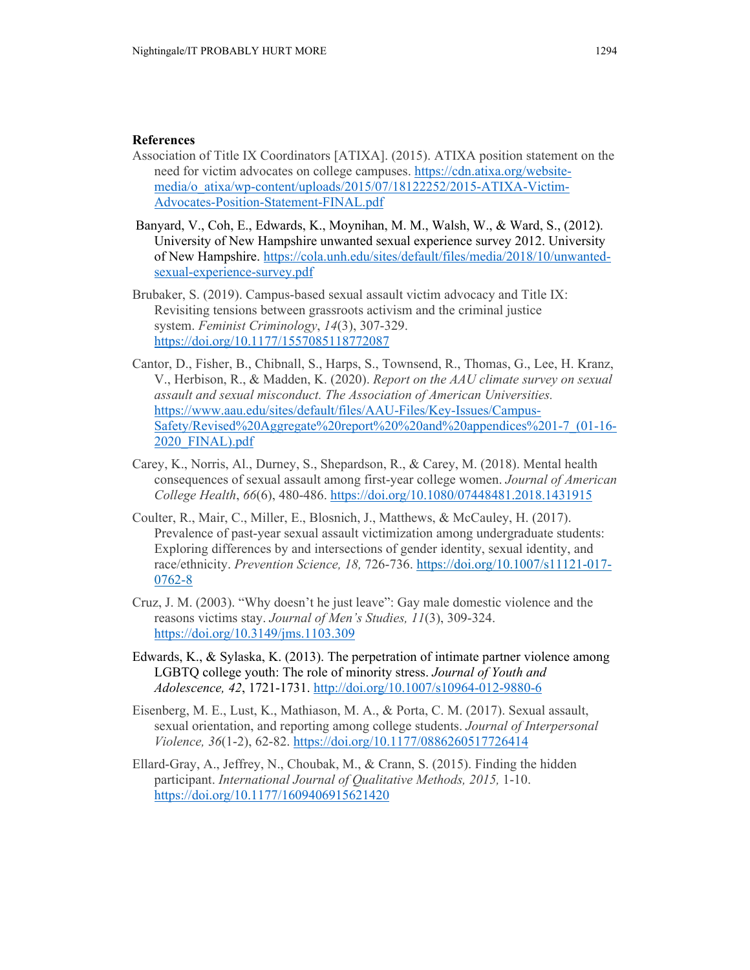# **References**

- Association of Title IX Coordinators [ATIXA]. (2015). ATIXA position statement on the need for victim advocates on college campuses. https://cdn.atixa.org/websitemedia/o\_atixa/wp-content/uploads/2015/07/18122252/2015-ATIXA-Victim-Advocates-Position-Statement-FINAL.pdf
- Banyard, V., Coh, E., Edwards, K., Moynihan, M. M., Walsh, W., & Ward, S., (2012). University of New Hampshire unwanted sexual experience survey 2012. University of New Hampshire. https://cola.unh.edu/sites/default/files/media/2018/10/unwantedsexual-experience-survey.pdf
- Brubaker, S. (2019). Campus-based sexual assault victim advocacy and Title IX: Revisiting tensions between grassroots activism and the criminal justice system. *Feminist Criminology*, *14*(3), 307-329. https://doi.org/10.1177/1557085118772087
- Cantor, D., Fisher, B., Chibnall, S., Harps, S., Townsend, R., Thomas, G., Lee, H. Kranz, V., Herbison, R., & Madden, K. (2020). *Report on the AAU climate survey on sexual assault and sexual misconduct. The Association of American Universities.* https://www.aau.edu/sites/default/files/AAU-Files/Key-Issues/Campus-Safety/Revised%20Aggregate%20report%20%20and%20appendices%201-7\_(01-16- 2020\_FINAL).pdf
- Carey, K., Norris, Al., Durney, S., Shepardson, R., & Carey, M. (2018). Mental health consequences of sexual assault among first-year college women. *Journal of American College Health*, *66*(6), 480-486. https://doi.org/10.1080/07448481.2018.1431915
- Coulter, R., Mair, C., Miller, E., Blosnich, J., Matthews, & McCauley, H. (2017). Prevalence of past-year sexual assault victimization among undergraduate students: Exploring differences by and intersections of gender identity, sexual identity, and race/ethnicity. *Prevention Science, 18,* 726-736. https://doi.org/10.1007/s11121-017- 0762-8
- Cruz, J. M. (2003). "Why doesn't he just leave": Gay male domestic violence and the reasons victims stay. *Journal of Men's Studies, 11*(3), 309-324. https://doi.org/10.3149/jms.1103.309
- Edwards, K., & Sylaska, K. (2013). The perpetration of intimate partner violence among LGBTQ college youth: The role of minority stress. *Journal of Youth and Adolescence, 42*, 1721-1731. http://doi.org/10.1007/s10964-012-9880-6
- Eisenberg, M. E., Lust, K., Mathiason, M. A., & Porta, C. M. (2017). Sexual assault, sexual orientation, and reporting among college students. *Journal of Interpersonal Violence, 36*(1-2), 62-82. https://doi.org/10.1177/0886260517726414
- Ellard-Gray, A., Jeffrey, N., Choubak, M., & Crann, S. (2015). Finding the hidden participant. *International Journal of Qualitative Methods, 2015,* 1-10. https://doi.org/10.1177/1609406915621420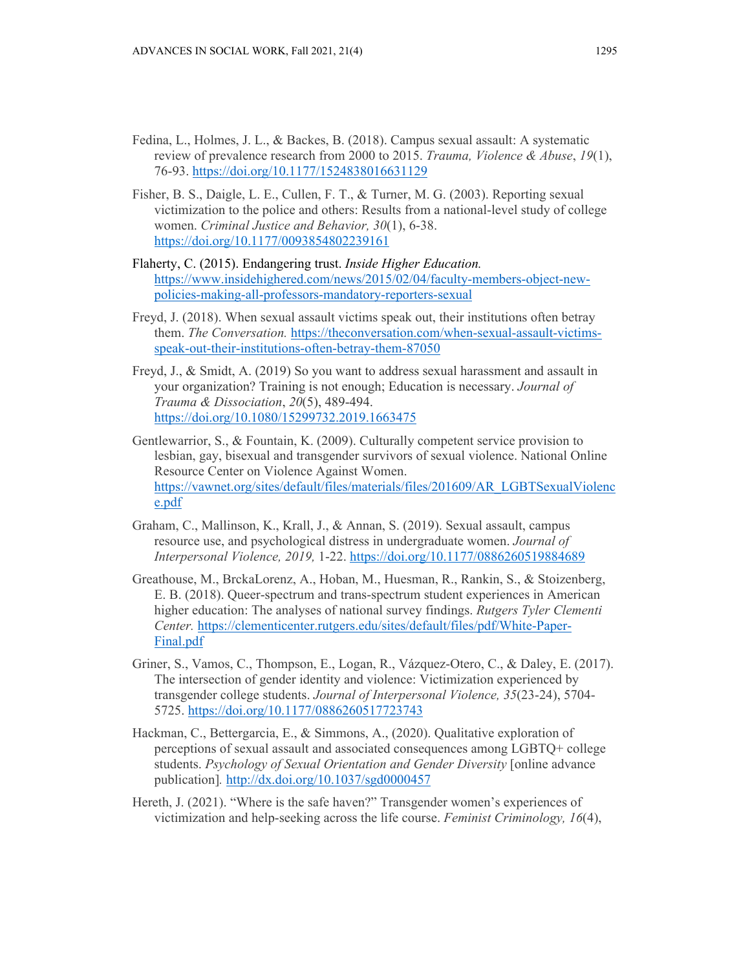- Fedina, L., Holmes, J. L., & Backes, B. (2018). Campus sexual assault: A systematic review of prevalence research from 2000 to 2015. *Trauma, Violence & Abuse*, *19*(1), 76-93. https://doi.org/10.1177/1524838016631129
- Fisher, B. S., Daigle, L. E., Cullen, F. T., & Turner, M. G. (2003). Reporting sexual victimization to the police and others: Results from a national-level study of college women. *Criminal Justice and Behavior, 30*(1), 6-38. https://doi.org/10.1177/0093854802239161
- Flaherty, C. (2015). Endangering trust. *Inside Higher Education.* https://www.insidehighered.com/news/2015/02/04/faculty-members-object-newpolicies-making-all-professors-mandatory-reporters-sexual
- Freyd, J. (2018). When sexual assault victims speak out, their institutions often betray them. *The Conversation.* https://theconversation.com/when-sexual-assault-victimsspeak-out-their-institutions-often-betray-them-87050
- Freyd, J., & Smidt, A. (2019) So you want to address sexual harassment and assault in your organization? Training is not enough; Education is necessary. *Journal of Trauma & Dissociation*, *20*(5), 489-494. https://doi.org/10.1080/15299732.2019.1663475
- Gentlewarrior, S., & Fountain, K. (2009). Culturally competent service provision to lesbian, gay, bisexual and transgender survivors of sexual violence. National Online Resource Center on Violence Against Women. https://vawnet.org/sites/default/files/materials/files/201609/AR\_LGBTSexualViolenc e.pdf
- Graham, C., Mallinson, K., Krall, J., & Annan, S. (2019). Sexual assault, campus resource use, and psychological distress in undergraduate women. *Journal of Interpersonal Violence, 2019,* 1-22. https://doi.org/10.1177/0886260519884689
- Greathouse, M., BrckaLorenz, A., Hoban, M., Huesman, R., Rankin, S., & Stoizenberg, E. B. (2018). Queer-spectrum and trans-spectrum student experiences in American higher education: The analyses of national survey findings. *Rutgers Tyler Clementi Center.* https://clementicenter.rutgers.edu/sites/default/files/pdf/White-Paper-Final.pdf
- Griner, S., Vamos, C., Thompson, E., Logan, R., Vázquez-Otero, C., & Daley, E. (2017). The intersection of gender identity and violence: Victimization experienced by transgender college students. *Journal of Interpersonal Violence, 35*(23-24), 5704- 5725. https://doi.org/10.1177/0886260517723743
- Hackman, C., Bettergarcia, E., & Simmons, A., (2020). Qualitative exploration of perceptions of sexual assault and associated consequences among LGBTQ+ college students. *Psychology of Sexual Orientation and Gender Diversity* [online advance publication]*.* http://dx.doi.org/10.1037/sgd0000457
- Hereth, J. (2021). "Where is the safe haven?" Transgender women's experiences of victimization and help-seeking across the life course. *Feminist Criminology, 16*(4),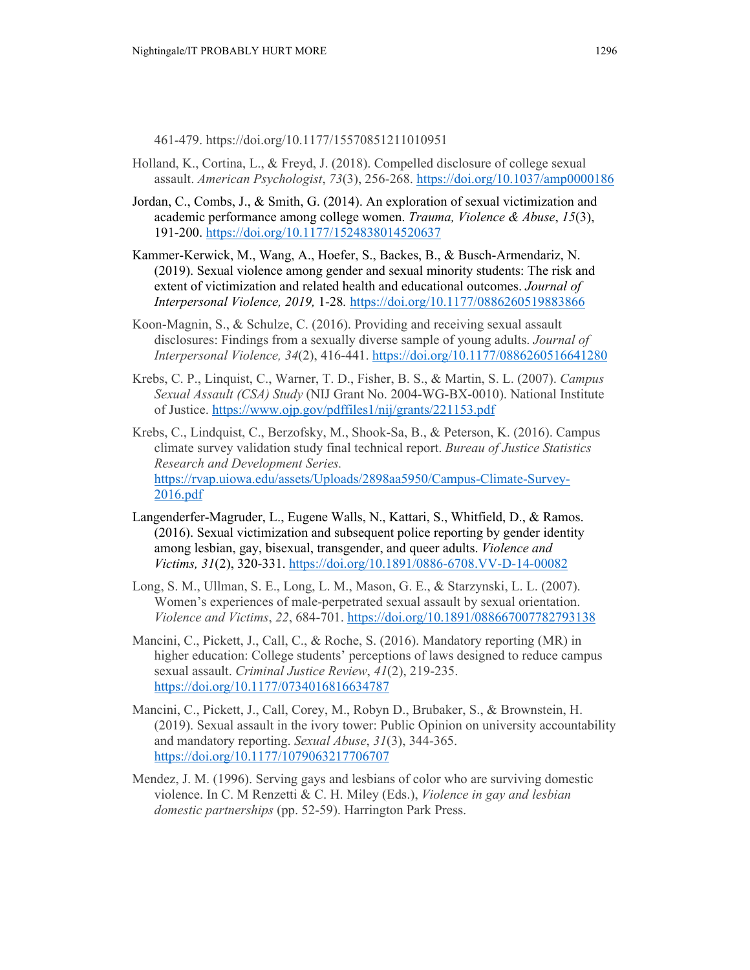461-479. https://doi.org/10.1177/15570851211010951

- Holland, K., Cortina, L., & Freyd, J. (2018). Compelled disclosure of college sexual assault. *American Psychologist*, *73*(3), 256-268. https://doi.org/10.1037/amp0000186
- Jordan, C., Combs, J., & Smith, G. (2014). An exploration of sexual victimization and academic performance among college women. *Trauma, Violence & Abuse*, *15*(3), 191-200. https://doi.org/10.1177/1524838014520637
- Kammer-Kerwick, M., Wang, A., Hoefer, S., Backes, B., & Busch-Armendariz, N. (2019). Sexual violence among gender and sexual minority students: The risk and extent of victimization and related health and educational outcomes. *Journal of Interpersonal Violence, 2019,* 1-28*.* https://doi.org/10.1177/0886260519883866
- Koon-Magnin, S., & Schulze, C. (2016). Providing and receiving sexual assault disclosures: Findings from a sexually diverse sample of young adults. *Journal of Interpersonal Violence, 34*(2), 416-441. https://doi.org/10.1177/0886260516641280
- Krebs, C. P., Linquist, C., Warner, T. D., Fisher, B. S., & Martin, S. L. (2007). *Campus Sexual Assault (CSA) Study* (NIJ Grant No. 2004-WG-BX-0010). National Institute of Justice. https://www.ojp.gov/pdffiles1/nij/grants/221153.pdf
- Krebs, C., Lindquist, C., Berzofsky, M., Shook-Sa, B., & Peterson, K. (2016). Campus climate survey validation study final technical report. *Bureau of Justice Statistics Research and Development Series.*  https://rvap.uiowa.edu/assets/Uploads/2898aa5950/Campus-Climate-Survey-2016.pdf
- Langenderfer-Magruder, L., Eugene Walls, N., Kattari, S., Whitfield, D., & Ramos. (2016). Sexual victimization and subsequent police reporting by gender identity among lesbian, gay, bisexual, transgender, and queer adults. *Violence and Victims, 31*(2), 320-331. https://doi.org/10.1891/0886-6708.VV-D-14-00082
- Long, S. M., Ullman, S. E., Long, L. M., Mason, G. E., & Starzynski, L. L. (2007). Women's experiences of male-perpetrated sexual assault by sexual orientation. *Violence and Victims*, *22*, 684-701. https://doi.org/10.1891/088667007782793138
- Mancini, C., Pickett, J., Call, C., & Roche, S. (2016). Mandatory reporting (MR) in higher education: College students' perceptions of laws designed to reduce campus sexual assault. *Criminal Justice Review*, *41*(2), 219-235. https://doi.org/10.1177/0734016816634787
- Mancini, C., Pickett, J., Call, Corey, M., Robyn D., Brubaker, S., & Brownstein, H. (2019). Sexual assault in the ivory tower: Public Opinion on university accountability and mandatory reporting. *Sexual Abuse*, *31*(3), 344-365. https://doi.org/10.1177/1079063217706707
- Mendez, J. M. (1996). Serving gays and lesbians of color who are surviving domestic violence. In C. M Renzetti & C. H. Miley (Eds.), *Violence in gay and lesbian domestic partnerships* (pp. 52-59). Harrington Park Press.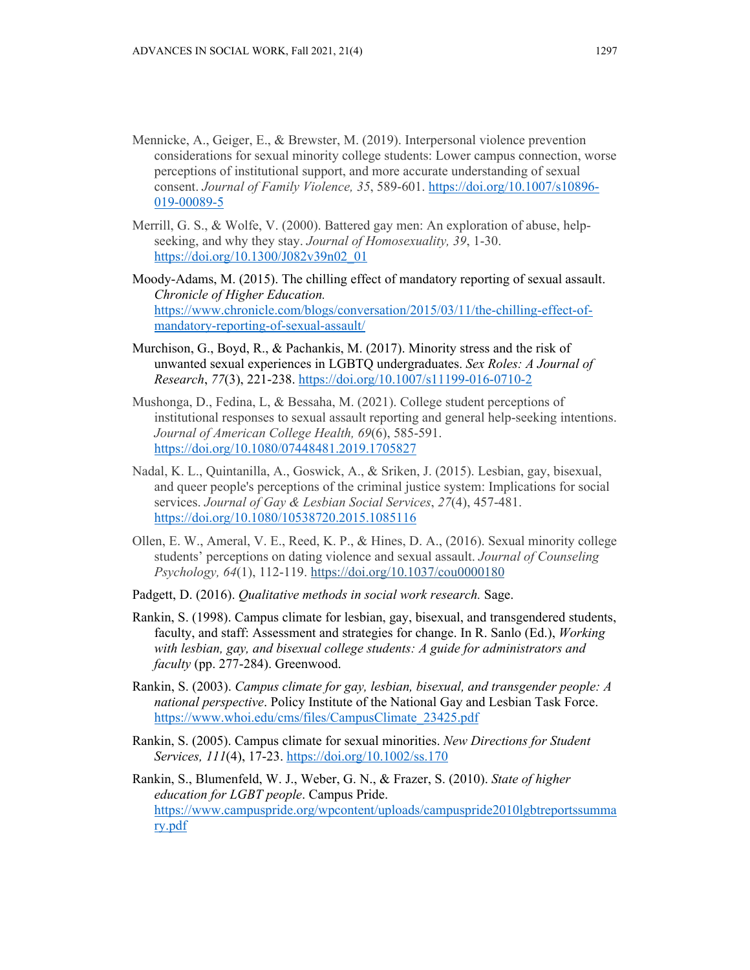- Mennicke, A., Geiger, E., & Brewster, M. (2019). Interpersonal violence prevention considerations for sexual minority college students: Lower campus connection, worse perceptions of institutional support, and more accurate understanding of sexual consent. *Journal of Family Violence, 35*, 589-601. https://doi.org/10.1007/s10896- 019-00089-5
- Merrill, G. S., & Wolfe, V. (2000). Battered gay men: An exploration of abuse, helpseeking, and why they stay. *Journal of Homosexuality, 39*, 1-30. https://doi.org/10.1300/J082v39n02\_01
- Moody-Adams, M. (2015). The chilling effect of mandatory reporting of sexual assault. *Chronicle of Higher Education.*  https://www.chronicle.com/blogs/conversation/2015/03/11/the-chilling-effect-ofmandatory-reporting-of-sexual-assault/
- Murchison, G., Boyd, R., & Pachankis, M. (2017). Minority stress and the risk of unwanted sexual experiences in LGBTQ undergraduates. *Sex Roles: A Journal of Research*, *77*(3), 221-238. https://doi.org/10.1007/s11199-016-0710-2
- Mushonga, D., Fedina, L, & Bessaha, M. (2021). College student perceptions of institutional responses to sexual assault reporting and general help-seeking intentions. *Journal of American College Health, 69*(6), 585-591. https://doi.org/10.1080/07448481.2019.1705827
- Nadal, K. L., Quintanilla, A., Goswick, A., & Sriken, J. (2015). Lesbian, gay, bisexual, and queer people's perceptions of the criminal justice system: Implications for social services. *Journal of Gay & Lesbian Social Services*, *27*(4), 457-481. https://doi.org/10.1080/10538720.2015.1085116
- Ollen, E. W., Ameral, V. E., Reed, K. P., & Hines, D. A., (2016). Sexual minority college students' perceptions on dating violence and sexual assault. *Journal of Counseling Psychology, 64*(1), 112-119. https://doi.org/10.1037/cou0000180
- Padgett, D. (2016). *Qualitative methods in social work research.* Sage.
- Rankin, S. (1998). Campus climate for lesbian, gay, bisexual, and transgendered students, faculty, and staff: Assessment and strategies for change. In R. Sanlo (Ed.), *Working with lesbian, gay, and bisexual college students: A guide for administrators and faculty* (pp. 277-284). Greenwood.
- Rankin, S. (2003). *Campus climate for gay, lesbian, bisexual, and transgender people: A national perspective*. Policy Institute of the National Gay and Lesbian Task Force. https://www.whoi.edu/cms/files/CampusClimate\_23425.pdf
- Rankin, S. (2005). Campus climate for sexual minorities. *New Directions for Student Services, 111*(4), 17-23. https://doi.org/10.1002/ss.170
- Rankin, S., Blumenfeld, W. J., Weber, G. N., & Frazer, S. (2010). *State of higher education for LGBT people*. Campus Pride. https://www.campuspride.org/wpcontent/uploads/campuspride2010lgbtreportssumma ry.pdf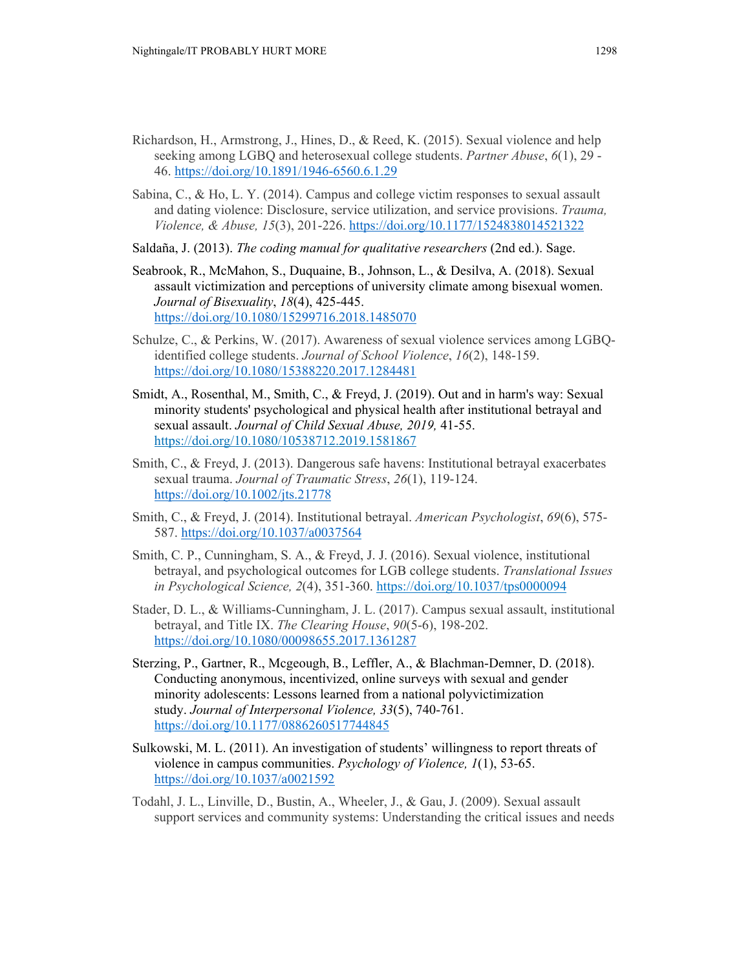- Richardson, H., Armstrong, J., Hines, D., & Reed, K. (2015). Sexual violence and help seeking among LGBQ and heterosexual college students. *Partner Abuse*, *6*(1), 29 - 46. https://doi.org/10.1891/1946-6560.6.1.29
- Sabina, C., & Ho, L. Y. (2014). Campus and college victim responses to sexual assault and dating violence: Disclosure, service utilization, and service provisions. *Trauma, Violence, & Abuse, 15*(3), 201-226. https://doi.org/10.1177/1524838014521322
- Saldaña, J. (2013). *The coding manual for qualitative researchers* (2nd ed.). Sage.
- Seabrook, R., McMahon, S., Duquaine, B., Johnson, L., & Desilva, A. (2018). Sexual assault victimization and perceptions of university climate among bisexual women. *Journal of Bisexuality*, *18*(4), 425-445. https://doi.org/10.1080/15299716.2018.1485070
- Schulze, C., & Perkins, W. (2017). Awareness of sexual violence services among LGBQidentified college students. *Journal of School Violence*, *16*(2), 148-159. https://doi.org/10.1080/15388220.2017.1284481
- Smidt, A., Rosenthal, M., Smith, C., & Freyd, J. (2019). Out and in harm's way: Sexual minority students' psychological and physical health after institutional betrayal and sexual assault. *Journal of Child Sexual Abuse, 2019,* 41-55. https://doi.org/10.1080/10538712.2019.1581867
- Smith, C., & Freyd, J. (2013). Dangerous safe havens: Institutional betrayal exacerbates sexual trauma. *Journal of Traumatic Stress*, *26*(1), 119-124. https://doi.org/10.1002/jts.21778
- Smith, C., & Freyd, J. (2014). Institutional betrayal. *American Psychologist*, *69*(6), 575- 587. https://doi.org/10.1037/a0037564
- Smith, C. P., Cunningham, S. A., & Freyd, J. J. (2016). Sexual violence, institutional betrayal, and psychological outcomes for LGB college students. *Translational Issues in Psychological Science, 2*(4), 351-360. https://doi.org/10.1037/tps0000094
- Stader, D. L., & Williams-Cunningham, J. L. (2017). Campus sexual assault, institutional betrayal, and Title IX. *The Clearing House*, *90*(5-6), 198-202. https://doi.org/10.1080/00098655.2017.1361287
- Sterzing, P., Gartner, R., Mcgeough, B., Leffler, A., & Blachman-Demner, D. (2018). Conducting anonymous, incentivized, online surveys with sexual and gender minority adolescents: Lessons learned from a national polyvictimization study. *Journal of Interpersonal Violence, 33*(5), 740-761. https://doi.org/10.1177/0886260517744845
- Sulkowski, M. L. (2011). An investigation of students' willingness to report threats of violence in campus communities. *Psychology of Violence, 1*(1), 53-65. https://doi.org/10.1037/a0021592
- Todahl, J. L., Linville, D., Bustin, A., Wheeler, J., & Gau, J. (2009). Sexual assault support services and community systems: Understanding the critical issues and needs